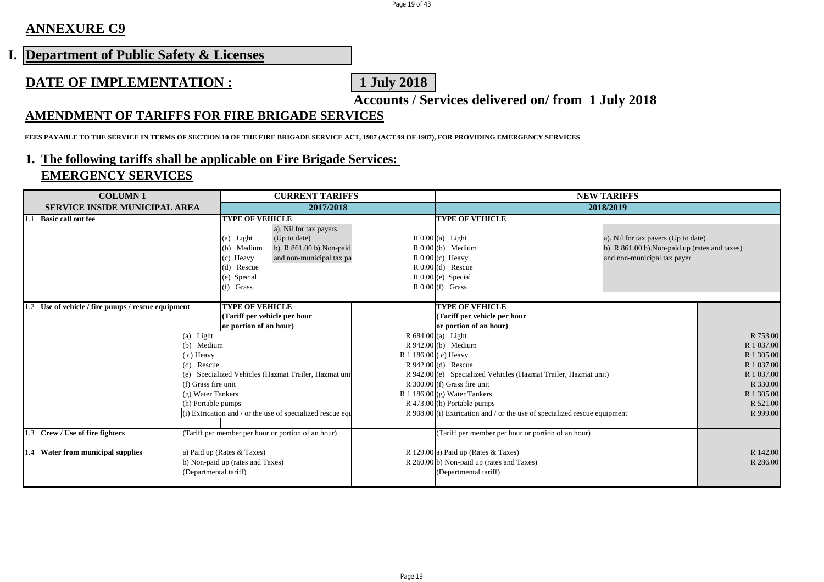Page 19 of 43

## **ANNEXURE C9**

## **I. Department of Public Safety & Licenses**

## **DATE OF IMPLEMENTATION : 1 July 2018**

**Accounts / Services delivered on/ from 1 July 2018**

#### **AMENDMENT OF TARIFFS FOR FIRE BRIGADE SERVICES**

**FEES PAYABLE TO THE SERVICE IN TERMS OF SECTION 10 OF THE FIRE BRIGADE SERVICE ACT, 1987 (ACT 99 OF 1987), FOR PROVIDING EMERGENCY SERVICES**

#### **1. The following tariffs shall be applicable on Fire Brigade Services: EMERGENCY SERVICES**

| <b>COLUMN1</b>                                     | <b>CURRENT TARIFFS</b>                                     |                                                                           | <b>NEW TARIFFS</b>                             |            |
|----------------------------------------------------|------------------------------------------------------------|---------------------------------------------------------------------------|------------------------------------------------|------------|
| SERVICE INSIDE MUNICIPAL AREA                      | 2017/2018                                                  |                                                                           | 2018/2019                                      |            |
| <b>Basic call out fee</b>                          | <b>TYPE OF VEHICLE</b>                                     | <b>TYPE OF VEHICLE</b>                                                    |                                                |            |
|                                                    | a). Nil for tax payers                                     |                                                                           |                                                |            |
|                                                    | (a) Light<br>(Up to date)                                  | $R$ 0.00 (a) Light                                                        | a). Nil for tax payers (Up to date)            |            |
|                                                    | b). R 861.00 b). Non-paid<br>(b) Medium                    | $R$ 0.00 $(b)$ Medium                                                     | b). R 861.00 b). Non-paid up (rates and taxes) |            |
|                                                    | and non-municipal tax pa<br>(c) Heavy                      | $R 0.00$ (c) Heavy                                                        | and non-municipal tax payer                    |            |
|                                                    | (d) Rescue                                                 | $R$ 0.00 $(d)$ Rescue                                                     |                                                |            |
|                                                    | (e) Special                                                | $R$ 0.00 $(e)$ Special                                                    |                                                |            |
|                                                    | $(f)$ Grass                                                | $R$ 0.00 (f) Grass                                                        |                                                |            |
|                                                    |                                                            |                                                                           |                                                |            |
| 1.2 Use of vehicle / fire pumps / rescue equipment | <b>TYPE OF VEHICLE</b>                                     | <b>TYPE OF VEHICLE</b>                                                    |                                                |            |
|                                                    | (Tariff per vehicle per hour                               | (Tariff per vehicle per hour                                              |                                                |            |
|                                                    | or portion of an hour)                                     | or portion of an hour)                                                    |                                                |            |
| (a) Light                                          |                                                            | $R$ 684.00 (a) Light                                                      |                                                | R 753.00   |
| (b) Medium                                         |                                                            | $R942.00(b)$ Medium                                                       |                                                | R 1 037.00 |
| $(c)$ Heavy                                        |                                                            | R 1 186.00 (c) Heavy                                                      |                                                | R 1 305.00 |
| (d) Rescue                                         |                                                            | $R$ 942.00 $(d)$ Rescue                                                   |                                                | R 1 037.00 |
|                                                    | (e) Specialized Vehicles (Hazmat Trailer, Hazmat uni       | R 942.00 (e) Specialized Vehicles (Hazmat Trailer, Hazmat unit)           |                                                | R 1 037.00 |
| (f) Grass fire unit                                |                                                            | R 300.00 (f) Grass fire unit                                              |                                                | R 330.00   |
| (g) Water Tankers                                  |                                                            | R 1 186.00 $(g)$ Water Tankers                                            |                                                | R 1 305.00 |
| (h) Portable pumps                                 |                                                            | R 473.00 (h) Portable pumps                                               |                                                | R 521.00   |
|                                                    | (i) Extrication and / or the use of specialized rescue equ | R 908.00 (i) Extrication and / or the use of specialized rescue equipment |                                                | R 999.00   |
| 1.3 Crew / Use of fire fighters                    | (Tariff per member per hour or portion of an hour)         | (Tariff per member per hour or portion of an hour)                        |                                                |            |
| 1.4 Water from municipal supplies                  | a) Paid up (Rates & Taxes)                                 | R 129.00 a) Paid up (Rates & Taxes)                                       |                                                | R 142.00   |
|                                                    | b) Non-paid up (rates and Taxes)                           | R 260.00 b) Non-paid up (rates and Taxes)                                 |                                                | R 286.00   |
| (Departmental tariff)                              |                                                            | (Departmental tariff)                                                     |                                                |            |
|                                                    |                                                            |                                                                           |                                                |            |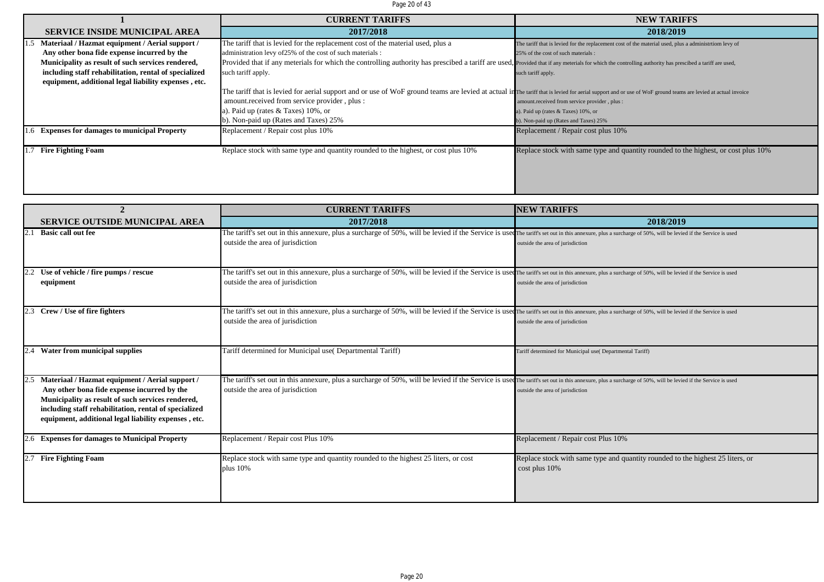#### Page 20 of 43

|                                                       | <b>CURRENT TARIFFS</b>                                                                                                                                                                                       | <b>NEW TARIFFS</b>                                                                                    |
|-------------------------------------------------------|--------------------------------------------------------------------------------------------------------------------------------------------------------------------------------------------------------------|-------------------------------------------------------------------------------------------------------|
| <b>SERVICE INSIDE MUNICIPAL AREA</b>                  | 2017/2018                                                                                                                                                                                                    | 2018/2019                                                                                             |
| Materiaal / Hazmat equipment / Aerial support /       | The tariff that is levied for the replacement cost of the material used, plus a                                                                                                                              | The tariff that is levied for the replacement cost of the material used, plus a administrtiom levy of |
| Any other bona fide expense incurred by the           | administration levy of 25% of the cost of such materials :                                                                                                                                                   | 25% of the cost of such materials :                                                                   |
| Municipality as result of such services rendered,     | Provided that if any meterials for which the controlling authority has prescibed a tariff are used, Provided that if any meterials for which the controlling authority has prescibed a tariff are used,      |                                                                                                       |
| including staff rehabilitation, rental of specialized | such tariff apply.                                                                                                                                                                                           | such tariff apply.                                                                                    |
| equipment, additional legal liability expenses, etc.  |                                                                                                                                                                                                              |                                                                                                       |
|                                                       | The tariff that is levied for aerial support and or use of WoF ground teams are levied at actual in The tariff that is levied for aerial support and or use of WoF ground teams are levied at actual invoice |                                                                                                       |
|                                                       | amount.received from service provider, plus:                                                                                                                                                                 | amount.received from service provider, plus :                                                         |
|                                                       | a). Paid up (rates $&$ Taxes) 10%, or                                                                                                                                                                        | a). Paid up (rates & Taxes) 10%, or                                                                   |
|                                                       | b). Non-paid up (Rates and Taxes) 25%                                                                                                                                                                        | b). Non-paid up (Rates and Taxes) 25%                                                                 |
| 1.6 Expenses for damages to municipal Property        | Replacement / Repair cost plus 10%                                                                                                                                                                           | Replacement / Repair cost plus 10%                                                                    |
|                                                       |                                                                                                                                                                                                              |                                                                                                       |
| <b>Fire Fighting Foam</b>                             | Replace stock with same type and quantity rounded to the highest, or cost plus 10%                                                                                                                           | Replace stock with same type and quantity rounded to the highest, or cost plus 10%                    |
|                                                       |                                                                                                                                                                                                              |                                                                                                       |
|                                                       |                                                                                                                                                                                                              |                                                                                                       |
|                                                       |                                                                                                                                                                                                              |                                                                                                       |
|                                                       |                                                                                                                                                                                                              |                                                                                                       |

| $\mathbf{2}$                                                                                                                                                                                                                                                         | <b>CURRENT TARIFFS</b>                                                                                                                                                                                                                          | <b>NEW TARIFFS</b>                                                                              |
|----------------------------------------------------------------------------------------------------------------------------------------------------------------------------------------------------------------------------------------------------------------------|-------------------------------------------------------------------------------------------------------------------------------------------------------------------------------------------------------------------------------------------------|-------------------------------------------------------------------------------------------------|
| <b>SERVICE OUTSIDE MUNICIPAL AREA</b>                                                                                                                                                                                                                                | 2017/2018                                                                                                                                                                                                                                       | 2018/2019                                                                                       |
| <b>Basic call out fee</b>                                                                                                                                                                                                                                            | The tariff's set out in this annexure, plus a surcharge of 50%, will be levied if the Service is used The tariff's set out in this annexure, plus a surcharge of 50%, will be levied if the Service is used<br>outside the area of jurisdiction | outside the area of jurisdiction                                                                |
| Use of vehicle / fire pumps / rescue<br>equipment                                                                                                                                                                                                                    | The tariff's set out in this annexure, plus a surcharge of 50%, will be levied if the Service is used The tariff's set out in this annexure, plus a surcharge of 50%, will be levied if the Service is used<br>outside the area of jurisdiction | outside the area of jurisdiction                                                                |
| Crew / Use of fire fighters                                                                                                                                                                                                                                          | The tariff's set out in this annexure, plus a surcharge of 50%, will be levied if the Service is used the tariff's set out in this annexure, plus a surcharge of 50%, will be levied if the Service is used<br>outside the area of jurisdiction | outside the area of jurisdiction                                                                |
| Water from municipal supplies                                                                                                                                                                                                                                        | Tariff determined for Municipal use( Departmental Tariff)                                                                                                                                                                                       | Tariff determined for Municipal use( Departmental Tariff)                                       |
| Materiaal / Hazmat equipment / Aerial support /<br>Any other bona fide expense incurred by the<br>Municipality as result of such services rendered,<br>including staff rehabilitation, rental of specialized<br>equipment, additional legal liability expenses, etc. | The tariff's set out in this annexure, plus a surcharge of 50%, will be levied if the Service is used the tariff's set out in this annexure, plus a surcharge of 50%, will be levied if the Service is used<br>outside the area of jurisdiction | outside the area of jurisdiction                                                                |
| 2.6 Expenses for damages to Municipal Property                                                                                                                                                                                                                       | Replacement / Repair cost Plus 10%                                                                                                                                                                                                              | Replacement / Repair cost Plus 10%                                                              |
| <b>Fire Fighting Foam</b>                                                                                                                                                                                                                                            | Replace stock with same type and quantity rounded to the highest 25 liters, or cost<br>plus $10%$                                                                                                                                               | Replace stock with same type and quantity rounded to the highest 25 liters, or<br>cost plus 10% |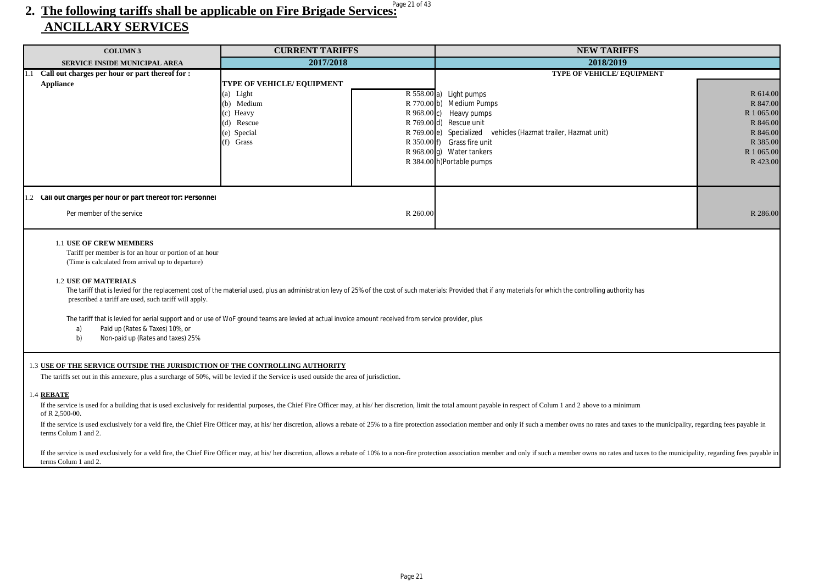## 2. The following tariffs shall be applicable on Fire Brigade Services:  **ANCILLARY SERVICES**

| <b>COLUMN 3</b>                                                                                                                                                                                                                                                                                                           | <b>CURRENT TARIFFS</b>                                                                                                                               | <b>NEW TARIFFS</b>                                                                                                                                                                                                                                                                                                                                                                                                                                           |                                                                                                  |
|---------------------------------------------------------------------------------------------------------------------------------------------------------------------------------------------------------------------------------------------------------------------------------------------------------------------------|------------------------------------------------------------------------------------------------------------------------------------------------------|--------------------------------------------------------------------------------------------------------------------------------------------------------------------------------------------------------------------------------------------------------------------------------------------------------------------------------------------------------------------------------------------------------------------------------------------------------------|--------------------------------------------------------------------------------------------------|
| <b>SERVICE INSIDE MUNICIPAL AREA</b>                                                                                                                                                                                                                                                                                      | 2017/2018                                                                                                                                            | 2018/2019                                                                                                                                                                                                                                                                                                                                                                                                                                                    |                                                                                                  |
| Call out charges per hour or part thereof for :<br>1.1<br><b>Appliance</b>                                                                                                                                                                                                                                                | TYPE OF VEHICLE/EQUIPMENT<br>(a) Light<br>(b) Medium<br>(c) Heavy<br>(d) Rescue<br>(e) Special<br>$(f)$ Grass                                        | TYPE OF VEHICLE/ EQUIPMENT<br>R 558.00 a) Light pumps<br>R 770.00 b) Medium Pumps<br>R 968.00 c) Heavy pumps<br>R 769.00 d) Rescue unit<br>R 769.00 e) Specialized vehicles (Hazmat trailer, Hazmat unit)<br>R 350.00 f) Grass fire unit<br>R 968.00 g) Water tankers<br>R 384.00 h)Portable pumps                                                                                                                                                           | R 614.00<br>R 847.00<br>R 1 065.00<br>R 846.00<br>R 846.00<br>R 385.00<br>R 1 065.00<br>R 423.00 |
| 1.2 Call out charges per hour or part thereof for: Personnel<br>Per member of the service                                                                                                                                                                                                                                 |                                                                                                                                                      | R 260.00                                                                                                                                                                                                                                                                                                                                                                                                                                                     | R 286.00                                                                                         |
| <b>1.1 USE OF CREW MEMBERS</b><br>Tariff per member is for an hour or portion of an hour<br>(Time is calculated from arrival up to departure)<br><b>1.2 USE OF MATERIALS</b><br>prescribed a tariff are used, such tariff will apply.<br>Paid up (Rates & Taxes) 10%, or<br>a)<br>b)<br>Non-paid up (Rates and taxes) 25% | The tariff that is levied for aerial support and or use of WoF ground teams are levied at actual invoice amount received from service provider, plus | The tariff that is levied for the replacement cost of the material used, plus an administration levy of 25% of the cost of such materials: Provided that if any materials for which the controlling authority has                                                                                                                                                                                                                                            |                                                                                                  |
| 1.3 USE OF THE SERVICE OUTSIDE THE JURISDICTION OF THE CONTROLLING AUTHORITY<br>1.4 REBATE<br>of R 2,500-00.<br>terms Colum 1 and 2.                                                                                                                                                                                      | The tariffs set out in this annexure, plus a surcharge of 50%, will be levied if the Service is used outside the area of jurisdiction.               | If the service is used for a building that is used exclusively for residential purposes, the Chief Fire Officer may, at his/ her discretion, limit the total amount payable in respect of Colum 1 and 2 above to a minimum<br>If the service is used exclusively for a veld fire, the Chief Fire Officer may, at his/her discretion, allows a rebate of 25% to a fire protection association member and only if such a member owns no rates and taxes to the |                                                                                                  |
| terms Colum 1 and 2.                                                                                                                                                                                                                                                                                                      |                                                                                                                                                      | If the service is used exclusively for a veld fire, the Chief Fire Officer may, at his/ her discretion, allows a rebate of 10% to a non-fire protection association member and only if such a member owns no rates and taxes t                                                                                                                                                                                                                               |                                                                                                  |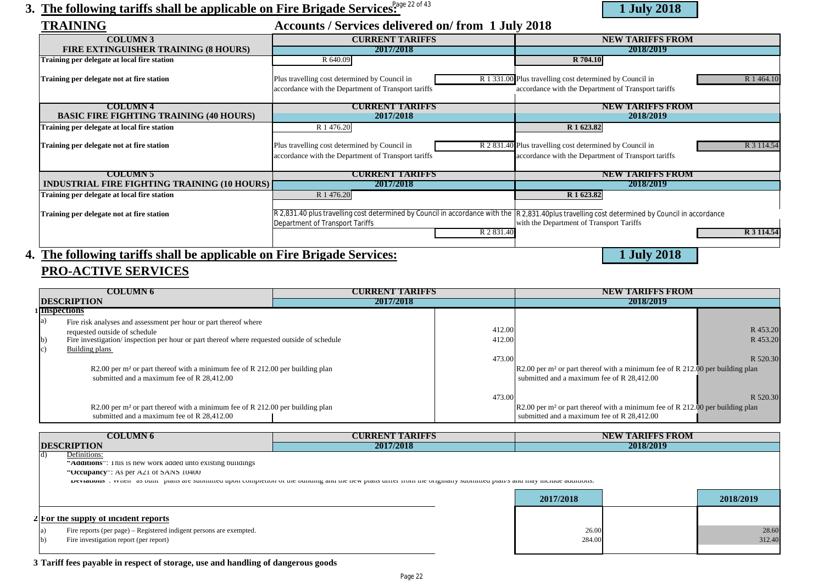## 3. The following tariffs shall be applicable on Fire Brigade Services:  $\frac{220643}{1}$  July 2018



| <b>TRAINING</b>                                     | Accounts / Services delivered on/from 1 July 2018                                                                                               |                                                                        |
|-----------------------------------------------------|-------------------------------------------------------------------------------------------------------------------------------------------------|------------------------------------------------------------------------|
| <b>COLUMN 3</b>                                     | <b>CURRENT TARIFFS</b>                                                                                                                          | <b>NEW TARIFFS FROM</b>                                                |
| FIRE EXTINGUISHER TRAINING (8 HOURS)                | 2017/2018                                                                                                                                       | 2018/2019                                                              |
| Training per delegate at local fire station         | R 640.09                                                                                                                                        | R 704.10                                                               |
| Training per delegate not at fire station           | Plus travelling cost determined by Council in                                                                                                   | R 1 331.00 Plus travelling cost determined by Council in<br>R 1 464.10 |
|                                                     | accordance with the Department of Transport tariffs                                                                                             | accordance with the Department of Transport tariffs                    |
| <b>COLUMN 4</b>                                     | <b>CURRENT TARIFFS</b>                                                                                                                          | <b>NEW TARIFFS FROM</b>                                                |
| <b>BASIC FIRE FIGHTING TRAINING (40 HOURS)</b>      | 2017/2018                                                                                                                                       | 2018/2019                                                              |
| <b>Training per delegate at local fire station</b>  | R 1 476.20                                                                                                                                      | R 1 623.82                                                             |
|                                                     |                                                                                                                                                 |                                                                        |
| Training per delegate not at fire station           | Plus travelling cost determined by Council in                                                                                                   | R 2 831.40 Plus travelling cost determined by Council in<br>R 3 114.54 |
|                                                     | accordance with the Department of Transport tariffs                                                                                             | accordance with the Department of Transport tariffs                    |
| <b>COLUMN 5</b>                                     | <b>CURRENT TARIFFS</b>                                                                                                                          | <b>NEW TARIFFS FROM</b>                                                |
| <b>INDUSTRIAL FIRE FIGHTING TRAINING (10 HOURS)</b> | 2017/2018                                                                                                                                       | 2018/2019                                                              |
| Training per delegate at local fire station         | R 1 476.20                                                                                                                                      | R 1 623.82                                                             |
|                                                     |                                                                                                                                                 |                                                                        |
| Training per delegate not at fire station           | R 2,831.40 plus travelling cost determined by Council in accordance with the R 2,831.40plus travelling cost determined by Council in accordance |                                                                        |
|                                                     | Department of Transport Tariffs                                                                                                                 | with the Department of Transport Tariffs                               |
|                                                     | R 2 831.40                                                                                                                                      | R 3 114.54                                                             |
|                                                     | $-1$<br>$\sim$ $\sim$ $\sim$ $\sim$ $\sim$                                                                                                      | $\sim$ $\sim$ $\sim$ $\sim$ $\sim$                                     |

### **4. The following tariffs shall be applicable on Fire Brigade Services: 1 July 2018 PRO-ACTIVE SERVICES**

|                   | COLUMN 6                                                                                   | <b>CURRENT TARIFFS</b> |        | NEW TARIFFS FROM                                                                            |          |
|-------------------|--------------------------------------------------------------------------------------------|------------------------|--------|---------------------------------------------------------------------------------------------|----------|
|                   | <b>DESCRIPTION</b>                                                                         | 2017/2018              |        | 2018/2019                                                                                   |          |
|                   | 1 Inspections                                                                              |                        |        |                                                                                             |          |
|                   | Fire risk analyses and assessment per hour or part thereof where                           |                        |        |                                                                                             |          |
|                   | requested outside of schedule                                                              |                        | 412.00 |                                                                                             | R 453.20 |
| $\vert b \rangle$ | Fire investigation/inspection per hour or part thereof where requested outside of schedule |                        | 412.00 |                                                                                             | R 453.20 |
| c                 | Building plans                                                                             |                        |        |                                                                                             |          |
|                   |                                                                                            |                        | 473.00 |                                                                                             | R 520.30 |
|                   | R2.00 per m <sup>2</sup> or part thereof with a minimum fee of R 212.00 per building plan  |                        |        | $R2.00$ per m <sup>2</sup> or part thereof with a minimum fee of R 212.00 per building plan |          |
|                   | submitted and a maximum fee of R 28,412.00                                                 |                        |        | submitted and a maximum fee of R 28,412.00                                                  |          |
|                   |                                                                                            |                        |        |                                                                                             |          |
|                   |                                                                                            |                        | 473.00 |                                                                                             | R 520.30 |
|                   | R2.00 per m <sup>2</sup> or part thereof with a minimum fee of R 212.00 per building plan  |                        |        | $R2.00$ per m <sup>2</sup> or part thereof with a minimum fee of R 212.00 per building plan |          |
|                   | submitted and a maximum fee of R 28,412.00                                                 |                        |        | submitted and a maximum fee of R 28,412.00                                                  |          |

|                                  | <b>COLUMN 6</b>                                                                                                                                       | <b>CURRENT TARIFFS</b>                                                                                                                                              |                 | <b>NEW TARIFFS FROM</b> |                 |
|----------------------------------|-------------------------------------------------------------------------------------------------------------------------------------------------------|---------------------------------------------------------------------------------------------------------------------------------------------------------------------|-----------------|-------------------------|-----------------|
|                                  | <b>DESCRIPTION</b>                                                                                                                                    | 2017/2018                                                                                                                                                           |                 | 2018/2019               |                 |
| $\vert d \rangle$                | Definitions:                                                                                                                                          |                                                                                                                                                                     |                 |                         |                 |
|                                  | "Additions": This is new work added unto existing buildings                                                                                           |                                                                                                                                                                     |                 |                         |                 |
|                                  | "Occupancy": As per AZ1 of SANS 10400                                                                                                                 |                                                                                                                                                                     |                 |                         |                 |
|                                  |                                                                                                                                                       | Deviations , when as ount plans are submitted upon completion of the bunding and the new plans unfer from the originary submitted plan/s and may include additions. |                 |                         |                 |
|                                  |                                                                                                                                                       |                                                                                                                                                                     | 2017/2018       |                         | 2018/2019       |
| $ a\rangle$<br>$\vert b \rangle$ | 2 For the supply of incident reports<br>Fire reports (per page) – Registered indigent persons are exempted.<br>Fire investigation report (per report) |                                                                                                                                                                     | 26.00<br>284.00 |                         | 28.60<br>312.40 |

**3 Tariff fees payable in respect of storage, use and handling of dangerous goods**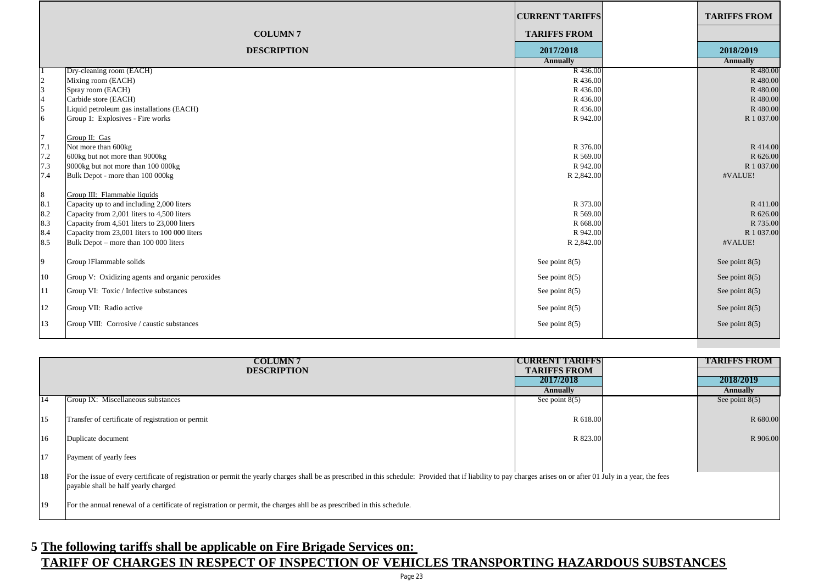|                                                                                                 |                                                                                                                                                                                                                                                                                                                                                                             | <b>CURRENT TARIFFS</b>                                                                         | <b>TARIFFS FROM</b>                                                                             |
|-------------------------------------------------------------------------------------------------|-----------------------------------------------------------------------------------------------------------------------------------------------------------------------------------------------------------------------------------------------------------------------------------------------------------------------------------------------------------------------------|------------------------------------------------------------------------------------------------|-------------------------------------------------------------------------------------------------|
|                                                                                                 | <b>COLUMN7</b>                                                                                                                                                                                                                                                                                                                                                              | <b>TARIFFS FROM</b>                                                                            |                                                                                                 |
|                                                                                                 | <b>DESCRIPTION</b>                                                                                                                                                                                                                                                                                                                                                          | 2017/2018                                                                                      | 2018/2019                                                                                       |
|                                                                                                 |                                                                                                                                                                                                                                                                                                                                                                             | <b>Annually</b>                                                                                | <b>Annually</b>                                                                                 |
|                                                                                                 | Dry-cleaning room (EACH)<br>Mixing room (EACH)                                                                                                                                                                                                                                                                                                                              | R 436.00<br>R436.00                                                                            | R 480.00<br>R 480.00                                                                            |
| 2<br>3                                                                                          | Spray room (EACH)                                                                                                                                                                                                                                                                                                                                                           | R 436.00                                                                                       | R 480.00                                                                                        |
| $\overline{4}$                                                                                  | Carbide store (EACH)                                                                                                                                                                                                                                                                                                                                                        | R 436.00                                                                                       | R 480.00                                                                                        |
| $\overline{5}$                                                                                  | Liquid petroleum gas installations (EACH)                                                                                                                                                                                                                                                                                                                                   | R436.00                                                                                        | R 480.00                                                                                        |
| 6                                                                                               | Group 1: Explosives - Fire works                                                                                                                                                                                                                                                                                                                                            | R 942.00                                                                                       | R 1 037.00                                                                                      |
| $\overline{7}$<br>7.1<br>$7.2\,$<br>7.3<br>7.4<br>$\lceil 8 \rceil$<br>8.1<br>8.2<br>8.3<br>8.4 | Group II: Gas<br>Not more than 600kg<br>600kg but not more than 9000kg<br>9000kg but not more than 100 000kg<br>Bulk Depot - more than 100 000kg<br>Group III: Flammable liquids<br>Capacity up to and including 2,000 liters<br>Capacity from 2,001 liters to 4,500 liters<br>Capacity from 4,501 liters to 23,000 liters<br>Capacity from 23,001 liters to 100 000 liters | R 376.00<br>R 569.00<br>R 942.00<br>R 2,842.00<br>R 373.00<br>R 569.00<br>R 668.00<br>R 942.00 | R 414.00<br>R 626.00<br>R 1 037.00<br>#VALUE!<br>R 411.00<br>R 626.00<br>R 735.00<br>R 1 037.00 |
| 8.5                                                                                             | Bulk Depot - more than 100 000 liters                                                                                                                                                                                                                                                                                                                                       | R 2,842.00                                                                                     | #VALUE!                                                                                         |
| 9                                                                                               | Group 1Flammable solids                                                                                                                                                                                                                                                                                                                                                     | See point $8(5)$                                                                               | See point $8(5)$                                                                                |
| 10                                                                                              | Group V: Oxidizing agents and organic peroxides                                                                                                                                                                                                                                                                                                                             | See point $8(5)$                                                                               | See point $8(5)$                                                                                |
| <sup>11</sup>                                                                                   | Group VI: Toxic / Infective substances                                                                                                                                                                                                                                                                                                                                      | See point $8(5)$                                                                               | See point $8(5)$                                                                                |
| 12                                                                                              | Group VII: Radio active                                                                                                                                                                                                                                                                                                                                                     | See point $8(5)$                                                                               | See point $8(5)$                                                                                |
| 13                                                                                              | Group VIII: Corrosive / caustic substances                                                                                                                                                                                                                                                                                                                                  | See point $8(5)$                                                                               | See point $8(5)$                                                                                |
|                                                                                                 |                                                                                                                                                                                                                                                                                                                                                                             |                                                                                                |                                                                                                 |

|    | <b>COLUMN 7</b>                                                                                                                                                                                                   | <b>ICURRENT TARIFFS</b>          | <b>TARIFFS FROM</b> |
|----|-------------------------------------------------------------------------------------------------------------------------------------------------------------------------------------------------------------------|----------------------------------|---------------------|
|    | <b>DESCRIPTION</b>                                                                                                                                                                                                | <b>TARIFFS FROM</b><br>2017/2018 | 2018/2019           |
|    |                                                                                                                                                                                                                   |                                  |                     |
|    |                                                                                                                                                                                                                   | <b>Annually</b>                  | <b>Annually</b>     |
| 14 | Group IX: Miscellaneous substances                                                                                                                                                                                | See point $8(5)$                 | See point $8(5)$    |
|    |                                                                                                                                                                                                                   |                                  |                     |
| 15 | Transfer of certificate of registration or permit                                                                                                                                                                 | R 618.00                         | R 680.00            |
|    |                                                                                                                                                                                                                   |                                  |                     |
| 16 | Duplicate document                                                                                                                                                                                                | R 823.00                         | R 906.00            |
|    |                                                                                                                                                                                                                   |                                  |                     |
| 17 | Payment of yearly fees                                                                                                                                                                                            |                                  |                     |
|    |                                                                                                                                                                                                                   |                                  |                     |
|    |                                                                                                                                                                                                                   |                                  |                     |
| 18 | For the issue of every certificate of registration or permit the yearly charges shall be as prescribed in this schedule: Provided that if liability to pay charges arises on or after 01 July in a year, the fees |                                  |                     |
|    | payable shall be half yearly charged                                                                                                                                                                              |                                  |                     |
|    |                                                                                                                                                                                                                   |                                  |                     |
| 19 | For the annual renewal of a certificate of registration or permit, the charges ahll be as prescribed in this schedule.                                                                                            |                                  |                     |
|    |                                                                                                                                                                                                                   |                                  |                     |

# **5 The following tariffs shall be applicable on Fire Brigade Services on:**

#### **TARIFF OF CHARGES IN RESPECT OF INSPECTION OF VEHICLES TRANSPORTING HAZARDOUS SUBSTANCES**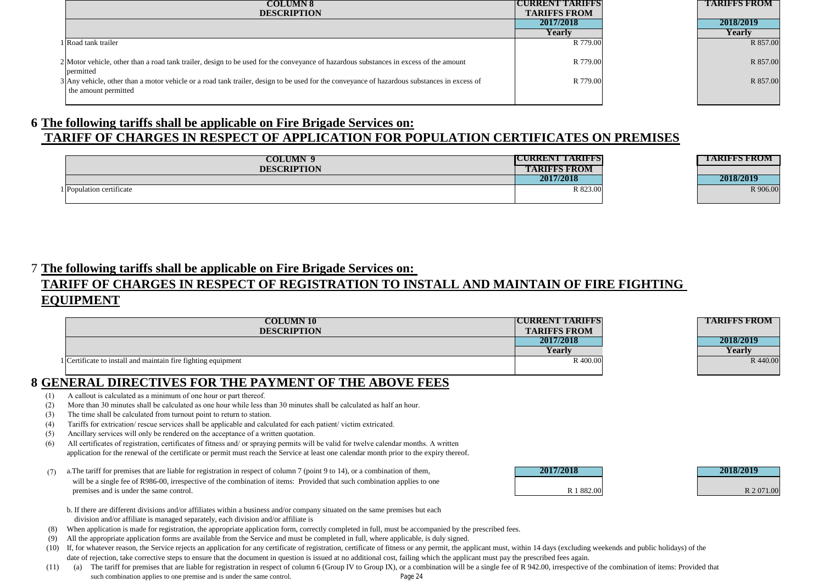| <b>COLUMN 8</b>                                                                                                                                                     | <b>ICURRENT TARISTS</b> | <b>TARIFFS FROM</b> |
|---------------------------------------------------------------------------------------------------------------------------------------------------------------------|-------------------------|---------------------|
| <b>DESCRIPTION</b>                                                                                                                                                  | <b>TARIFFS FROM</b>     |                     |
|                                                                                                                                                                     | 2017/2018               | 2018/2019           |
|                                                                                                                                                                     | Yearlv                  | Yearlv              |
| l Road tank trailer                                                                                                                                                 | R 779.00                | R 857.00            |
| 2 Motor vehicle, other than a road tank trailer, design to be used for the conveyance of hazardous substances in excess of the amount<br>permitted                  | R 779.00                | R 857.00            |
| 3 Any vehicle, other than a motor vehicle or a road tank trailer, design to be used for the conveyance of hazardous substances in excess of<br>the amount permitted | R 779.00                | R 857.00            |

#### **6 The following tariffs shall be applicable on Fire Brigade Services on: TARIFF OF CHARGES IN RESPECT OF APPLICATION FOR POPULATION CERTIFICATES ON PREMISES**

| COLUMN 9                 | IQURREN WARDEN      | <b>TIARIFFS FROM</b> |
|--------------------------|---------------------|----------------------|
| <b>DESCRIPTION</b>       | <b>TARIFFS FROM</b> |                      |
|                          | 2017/2018           | 2018/2019            |
| 1 Population certificate | R 823.00            | R 906.00             |

| TARIFFS FROM |
|--------------|
|              |
| 2018/2019    |
| R 906.00     |
|              |

#### 7 **The following tariffs shall be applicable on Fire Brigade Services on:**

#### **TARIFF OF CHARGES IN RESPECT OF REGISTRATION TO INSTALL AND MAINTAIN OF FIRE FIGHTING EQUIPMENT**

| <b>COLUMN 10</b>                                              | TCURRENT LARIFES    | <b>TARIFFS FROM</b> |
|---------------------------------------------------------------|---------------------|---------------------|
| <b>DESCRIPTION</b>                                            | <b>TARIFFS FROM</b> |                     |
|                                                               | 2017/2018           | 2018/2019           |
|                                                               | Yearly              | Yearly              |
| 1 Certificate to install and maintain fire fighting equipment | R 400.00            | R 440.00            |
|                                                               |                     |                     |

#### **8 GENERAL DIRECTIVES FOR THE PAYMENT OF THE ABOVE FEES**

- (1) A callout is calculated as a minimum of one hour or part thereof.
- (2) More than 30 minutes shall be calculated as one hour while less than 30 minutes shall be calculated as half an hour.
- (3) The time shall be calculated from turnout point to return to station.
- (4) Tariffs for extrication/ rescue services shall be applicable and calculated for each patient/ victim extricated.
- (5) Ancillary services will only be rendered on the acceptance of a written quotation.
- (6) All certificates of registration, certificates of fitness and/ or spraying permits will be valid for twelve calendar months. A written application for the renewal of the certificate or permit must reach the Service at least one calendar month prior to the expiry thereof.
- (7) a.The tariff for premises that are liable for registration in respect of column 7 (point 9 to 14), or a combination of them, **2017/2018 2018/2019** will be a single fee of R986-00, irrespective of the combination of items: Provided that such combination applies to one premises and is under the same control.

| 2017/2018  | 2018/2019 |
|------------|-----------|
|            |           |
| R 1 882.00 | R 2071.0  |

- b. If there are different divisions and/or affiliates within a business and/or company situated on the same premises but each division and/or affiliate is managed separately, each division and/or affiliate is
- (8) When application is made for registration, the appropriate application form, correctly completed in full, must be accompanied by the prescribed fees.
- (9) All the appropriate application forms are available from the Service and must be completed in full, where applicable, is duly signed.
- (10) If, for whatever reason, the Service rejects an application for any certificate of registration, certificate of fitness or any permit, the applicant must, within 14 days (excluding weekends and public holidays) of the date of rejection, take corrective steps to ensure that the document in question is issued at no additional cost, failing which the applicant must pay the prescribed fees again.
- $(11)$ such combination applies to one premise and is under the same control. (a) The tariff for premises that are liable for registration in respect of column 6 (Group IV to Group IX), or a combination will be a single fee of R 942.00, irrespective of the combination of items: Provided that Page 24